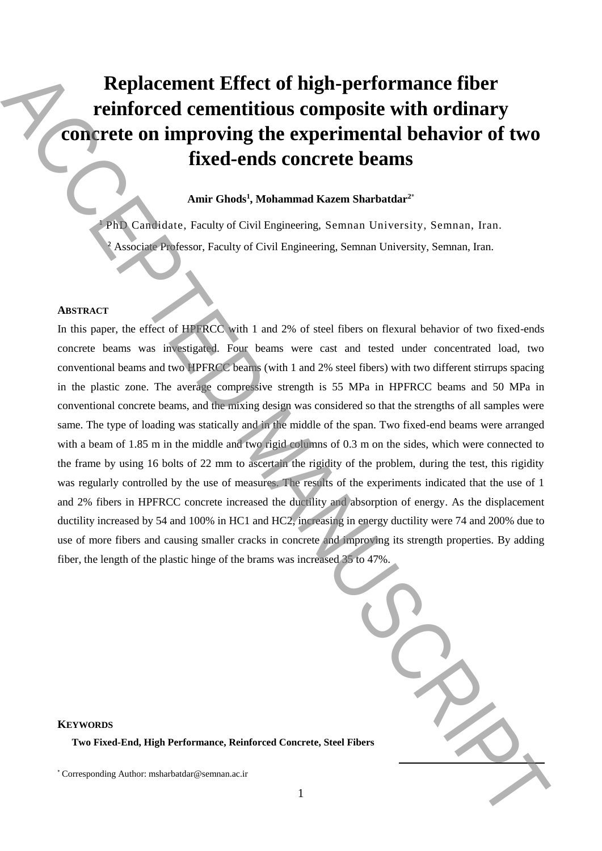# **Replacement Effect of high-performance fiber reinforced cementitious composite with ordinary concrete on improving the experimental behavior of two fixed-ends concrete beams**

## **Amir Ghods<sup>1</sup> , Mohammad Kazem Sharbatdar<sup>2</sup>**\*

<sup>1</sup> PhD Candidate, Faculty of Civil Engineering, Semnan University, Semnan, Iran. <sup>2</sup> Associate Professor, Faculty of Civil Engineering, Semnan University, Semnan, Iran.

#### **ABSTRACT**

In this paper, the effect of HPFRCC with 1 and 2% of steel fibers on flexural behavior of two fixed-ends concrete beams was investigated. Four beams were cast and tested under concentrated load, two conventional beams and two HPFRCC beams (with 1 and 2% steel fibers) with two different stirrups spacing in the plastic zone. The average compressive strength is 55 MPa in HPFRCC beams and 50 MPa in conventional concrete beams, and the mixing design was considered so that the strengths of all samples were same. The type of loading was statically and in the middle of the span. Two fixed-end beams were arranged with a beam of 1.85 m in the middle and two rigid columns of 0.3 m on the sides, which were connected to the frame by using 16 bolts of 22 mm to ascertain the rigidity of the problem, during the test, this rigidity was regularly controlled by the use of measures. The results of the experiments indicated that the use of 1 and 2% fibers in HPFRCC concrete increased the ductility and absorption of energy. As the displacement ductility increased by 54 and 100% in HC1 and HC2, increasing in energy ductility were 74 and 200% due to use of more fibers and causing smaller cracks in concrete and improving its strength properties. By adding fiber, the length of the plastic hinge of the brams was increased 35 to 47%. **Explacement Effect of high-performance fiber<br>
reinforced cementitious composite with ordinary<br>
connected to minimize the experimental behavior of two<br>
fixed-ends concrete beams<br>
Ante Ghode', Mohammad Kaesa Sharbatdar"<br>
A** 

| <b>Fibers</b> |  |
|---------------|--|

# **KEYWORDS**

**Two Fixed-End, High Performance, Reinforced Concrete, Steel**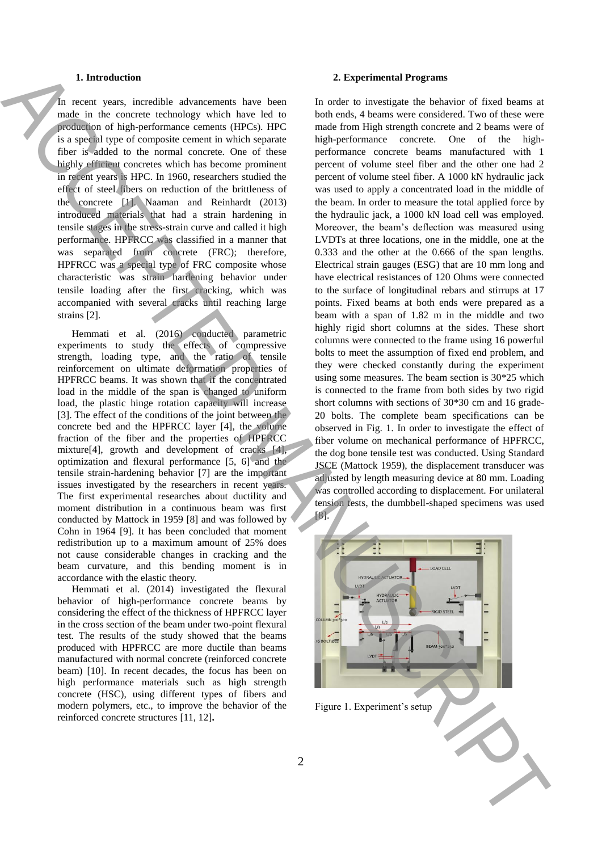#### **1. Introduction**

In recent years, incredible advancements have been made in the concrete technology which have led to production of high-performance cements (HPCs). HPC is a special type of composite cement in which separate fiber is added to the normal concrete. One of these highly efficient concretes which has become prominent in recent years is HPC. In 1960, researchers studied the effect of steel fibers on reduction of the brittleness of the concrete [1]. Naaman and Reinhardt (2013) introduced materials that had a strain hardening in tensile stages in the stress-strain curve and called it high performance. HPFRCC was classified in a manner that was separated from concrete (FRC); therefore, HPFRCC was a special type of FRC composite whose characteristic was strain hardening behavior under tensile loading after the first cracking, which was accompanied with several cracks until reaching large strains [2].

Hemmati et al. (2016) conducted parametric experiments to study the effects of compressive strength, loading type, and the ratio of tensile reinforcement on ultimate deformation properties of HPFRCC beams. It was shown that if the concentrated load in the middle of the span is changed to uniform load, the plastic hinge rotation capacity will increase [3]. The effect of the conditions of the joint between the concrete bed and the HPFRCC layer [4], the volume fraction of the fiber and the properties of HPFRCC mixture[4], growth and development of cracks [4], optimization and flexural performance [5, 6] and the tensile strain-hardening behavior [7] are the important issues investigated by the researchers in recent years. The first experimental researches about ductility and moment distribution in a continuous beam was first conducted by Mattock in 1959 [8] and was followed by Cohn in 1964 [9]. It has been concluded that moment redistribution up to a maximum amount of 25% does not cause considerable changes in cracking and the beam curvature, and this bending moment is in accordance with the elastic theory.

Hemmati et al. (2014) investigated the flexural behavior of high-performance concrete beams by considering the effect of the thickness of HPFRCC layer in the cross section of the beam under two-point flexural test. The results of the study showed that the beams produced with HPFRCC are more ductile than beams manufactured with normal concrete (reinforced concrete beam) [10]. In recent decades, the focus has been on high performance materials such as high strength concrete (HSC), using different types of fibers and modern polymers, etc., to improve the behavior of the reinforced concrete structures [11, 12]**.**

#### **2. Experimental Programs**

In order to investigate the behavior of fixed beams at both ends, 4 beams were considered. Two of these were made from High strength concrete and 2 beams were of high-performance concrete. One of the highperformance concrete beams manufactured with 1 percent of volume steel fiber and the other one had 2 percent of volume steel fiber. A 1000 kN hydraulic jack was used to apply a concentrated load in the middle of the beam. In order to measure the total applied force by the hydraulic jack, a 1000 kN load cell was employed. Moreover, the beam's deflection was measured using LVDTs at three locations, one in the middle, one at the 0.333 and the other at the 0.666 of the span lengths. Electrical strain gauges (ESG) that are 10 mm long and have electrical resistances of 120 Ohms were connected to the surface of longitudinal rebars and stirrups at 17 points. Fixed beams at both ends were prepared as a beam with a span of 1.82 m in the middle and two highly rigid short columns at the sides. These short columns were connected to the frame using 16 powerful bolts to meet the assumption of fixed end problem, and they were checked constantly during the experiment using some measures. The beam section is 30\*25 which is connected to the frame from both sides by two rigid short columns with sections of 30\*30 cm and 16 grade-20 bolts. The complete beam specifications can be observed in Fig. 1. In order to investigate the effect of fiber volume on mechanical performance of HPFRCC, the dog bone tensile test was conducted. Using Standard JSCE (Mattock 1959), the displacement transducer was adjusted by length measuring device at 80 mm. Loading was controlled according to displacement. For unilateral tension tests, the dumbbell-shaped specimens was used [8]. Figure 1. Experiment that is the setup and the setup and the setup and the setup and the setup and the setup and the setup and the setup and the setup and the setup and the setup and the setup and the setup and the setup